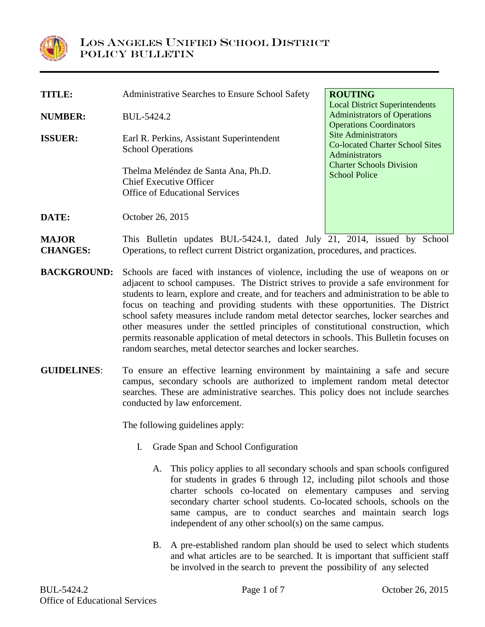

| <b>TITLE:</b>       | Administrative Searches to Ensure School Safety                                                                | <b>ROUTING</b>                                                                                                 |
|---------------------|----------------------------------------------------------------------------------------------------------------|----------------------------------------------------------------------------------------------------------------|
| <b>NUMBER:</b>      | BUL-5424.2                                                                                                     | <b>Local District Superintendents</b><br><b>Administrators of Operations</b><br><b>Operations Coordinators</b> |
| <b>ISSUER:</b>      | Earl R. Perkins, Assistant Superintendent<br><b>School Operations</b>                                          | <b>Site Administrators</b><br>Co-located Charter School Sites<br><b>Administrators</b>                         |
|                     | Thelma Meléndez de Santa Ana, Ph.D.<br><b>Chief Executive Officer</b><br><b>Office of Educational Services</b> | <b>Charter Schools Division</b><br><b>School Police</b>                                                        |
| DATE:               | October 26, 2015                                                                                               |                                                                                                                |
| $\bf M$ and $\bf M$ | This Dullatin undetes DIII $\zeta$ 494.1 deted July 91                                                         | issued by Cabool<br>2011                                                                                       |

**MAJOR CHANGES:** This Bulletin updates BUL-5424.1, dated July 21, 2014, issued by School Operations, to reflect current District organization, procedures, and practices.

- **BACKGROUND:** Schools are faced with instances of violence, including the use of weapons on or adjacent to school campuses. The District strives to provide a safe environment for students to learn, explore and create, and for teachers and administration to be able to focus on teaching and providing students with these opportunities. The District school safety measures include random metal detector searches, locker searches and other measures under the settled principles of constitutional construction, which permits reasonable application of metal detectors in schools. This Bulletin focuses on random searches, metal detector searches and locker searches.
- **GUIDELINES**: To ensure an effective learning environment by maintaining a safe and secure campus, secondary schools are authorized to implement random metal detector searches. These are administrative searches. This policy does not include searches conducted by law enforcement.

The following guidelines apply:

- I. Grade Span and School Configuration
	- A. This policy applies to all secondary schools and span schools configured for students in grades 6 through 12, including pilot schools and those charter schools co-located on elementary campuses and serving secondary charter school students. Co-located schools, schools on the same campus, are to conduct searches and maintain search logs independent of any other school(s) on the same campus.
	- B. A pre-established random plan should be used to select which students and what articles are to be searched. It is important that sufficient staff be involved in the search to prevent the possibility of any selected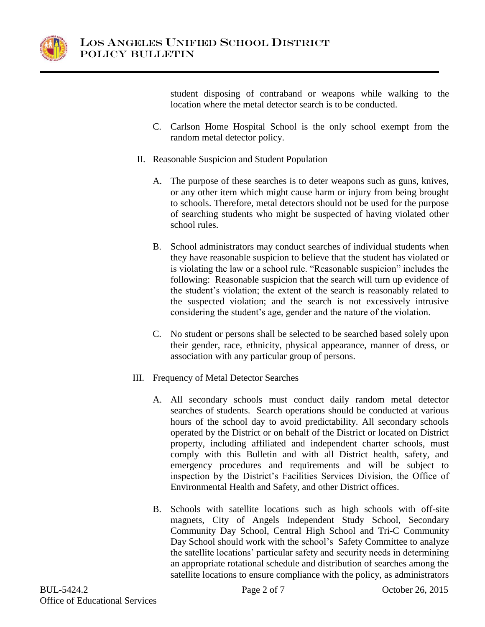

student disposing of contraband or weapons while walking to the location where the metal detector search is to be conducted.

- C. Carlson Home Hospital School is the only school exempt from the random metal detector policy.
- II. Reasonable Suspicion and Student Population
	- A. The purpose of these searches is to deter weapons such as guns, knives, or any other item which might cause harm or injury from being brought to schools. Therefore, metal detectors should not be used for the purpose of searching students who might be suspected of having violated other school rules.
	- B. School administrators may conduct searches of individual students when they have reasonable suspicion to believe that the student has violated or is violating the law or a school rule. "Reasonable suspicion" includes the following: Reasonable suspicion that the search will turn up evidence of the student's violation; the extent of the search is reasonably related to the suspected violation; and the search is not excessively intrusive considering the student's age, gender and the nature of the violation.
	- C. No student or persons shall be selected to be searched based solely upon their gender, race, ethnicity, physical appearance, manner of dress, or association with any particular group of persons.
- III. Frequency of Metal Detector Searches
	- A. All secondary schools must conduct daily random metal detector searches of students. Search operations should be conducted at various hours of the school day to avoid predictability. All secondary schools operated by the District or on behalf of the District or located on District property, including affiliated and independent charter schools, must comply with this Bulletin and with all District health, safety, and emergency procedures and requirements and will be subject to inspection by the District's Facilities Services Division, the Office of Environmental Health and Safety, and other District offices.
	- B. Schools with satellite locations such as high schools with off-site magnets, City of Angels Independent Study School, Secondary Community Day School, Central High School and Tri-C Community Day School should work with the school's Safety Committee to analyze the satellite locations' particular safety and security needs in determining an appropriate rotational schedule and distribution of searches among the satellite locations to ensure compliance with the policy, as administrators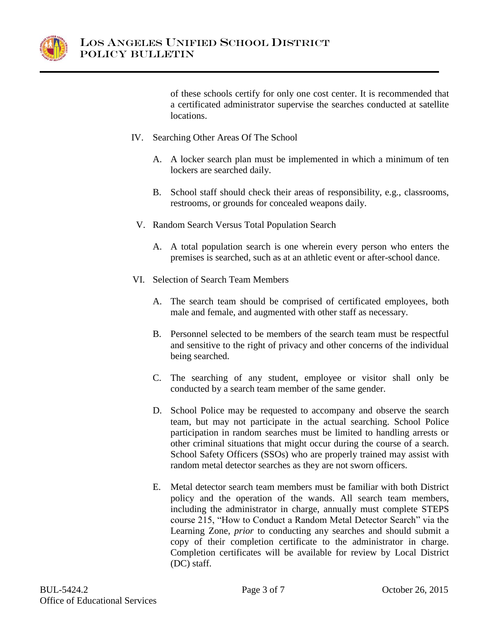

of these schools certify for only one cost center. It is recommended that a certificated administrator supervise the searches conducted at satellite locations.

- IV. Searching Other Areas Of The School
	- A. A locker search plan must be implemented in which a minimum of ten lockers are searched daily.
	- B. School staff should check their areas of responsibility, e.g., classrooms, restrooms, or grounds for concealed weapons daily.
	- V. Random Search Versus Total Population Search
		- A. A total population search is one wherein every person who enters the premises is searched, such as at an athletic event or after-school dance.
- VI. Selection of Search Team Members
	- A. The search team should be comprised of certificated employees, both male and female, and augmented with other staff as necessary.
	- B. Personnel selected to be members of the search team must be respectful and sensitive to the right of privacy and other concerns of the individual being searched.
	- C. The searching of any student, employee or visitor shall only be conducted by a search team member of the same gender.
	- D. School Police may be requested to accompany and observe the search team, but may not participate in the actual searching. School Police participation in random searches must be limited to handling arrests or other criminal situations that might occur during the course of a search. School Safety Officers (SSOs) who are properly trained may assist with random metal detector searches as they are not sworn officers.
	- E. Metal detector search team members must be familiar with both District policy and the operation of the wands. All search team members, including the administrator in charge, annually must complete STEPS course 215, "How to Conduct a Random Metal Detector Search" via the Learning Zone, *prior* to conducting any searches and should submit a copy of their completion certificate to the administrator in charge. Completion certificates will be available for review by Local District (DC) staff.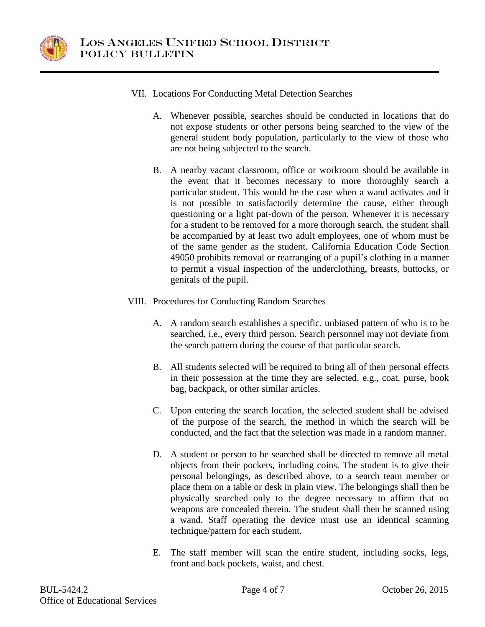

- VII. Locations For Conducting Metal Detection Searches
	- A. Whenever possible, searches should be conducted in locations that do not expose students or other persons being searched to the view of the general student body population, particularly to the view of those who are not being subjected to the search.
	- B. A nearby vacant classroom, office or workroom should be available in the event that it becomes necessary to more thoroughly search a particular student. This would be the case when a wand activates and it is not possible to satisfactorily determine the cause, either through questioning or a light pat-down of the person. Whenever it is necessary for a student to be removed for a more thorough search, the student shall be accompanied by at least two adult employees, one of whom must be of the same gender as the student. California Education Code Section 49050 prohibits removal or rearranging of a pupil's clothing in a manner to permit a visual inspection of the underclothing, breasts, buttocks, or genitals of the pupil.
- VIII. Procedures for Conducting Random Searches
	- A. A random search establishes a specific, unbiased pattern of who is to be searched, i.e., every third person. Search personnel may not deviate from the search pattern during the course of that particular search.
	- B. All students selected will be required to bring all of their personal effects in their possession at the time they are selected, e.g., coat, purse, book bag, backpack, or other similar articles.
	- C. Upon entering the search location, the selected student shall be advised of the purpose of the search, the method in which the search will be conducted, and the fact that the selection was made in a random manner.
	- D. A student or person to be searched shall be directed to remove all metal objects from their pockets, including coins. The student is to give their personal belongings, as described above, to a search team member or place them on a table or desk in plain view. The belongings shall then be physically searched only to the degree necessary to affirm that no weapons are concealed therein. The student shall then be scanned using a wand. Staff operating the device must use an identical scanning technique/pattern for each student.
	- E. The staff member will scan the entire student, including socks, legs, front and back pockets, waist, and chest.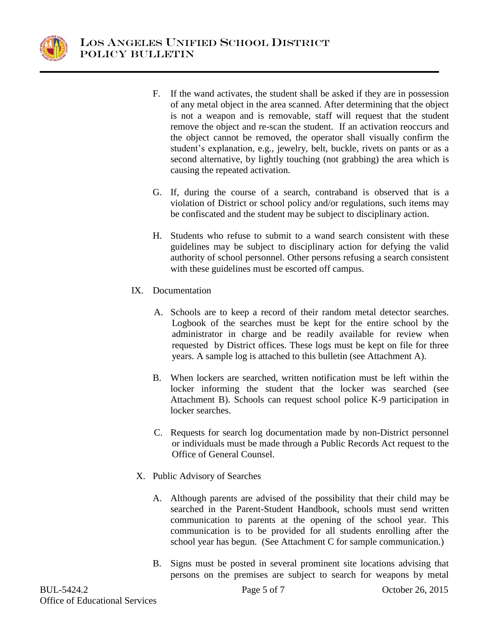

- F. If the wand activates, the student shall be asked if they are in possession of any metal object in the area scanned. After determining that the object is not a weapon and is removable, staff will request that the student remove the object and re-scan the student. If an activation reoccurs and the object cannot be removed, the operator shall visually confirm the student's explanation, e.g., jewelry, belt, buckle, rivets on pants or as a second alternative, by lightly touching (not grabbing) the area which is causing the repeated activation.
- G. If, during the course of a search, contraband is observed that is a violation of District or school policy and/or regulations, such items may be confiscated and the student may be subject to disciplinary action.
- H. Students who refuse to submit to a wand search consistent with these guidelines may be subject to disciplinary action for defying the valid authority of school personnel. Other persons refusing a search consistent with these guidelines must be escorted off campus.
- IX. Documentation
	- A. Schools are to keep a record of their random metal detector searches. Logbook of the searches must be kept for the entire school by the administrator in charge and be readily available for review when requested by District offices. These logs must be kept on file for three years. A sample log is attached to this bulletin (see Attachment A).
	- B. When lockers are searched, written notification must be left within the locker informing the student that the locker was searched (see Attachment B). Schools can request school police K-9 participation in locker searches.
	- C. Requests for search log documentation made by non-District personnel or individuals must be made through a Public Records Act request to the Office of General Counsel.
- X. Public Advisory of Searches
	- A. Although parents are advised of the possibility that their child may be searched in the Parent-Student Handbook, schools must send written communication to parents at the opening of the school year. This communication is to be provided for all students enrolling after the school year has begun. (See Attachment C for sample communication.)
	- B. Signs must be posted in several prominent site locations advising that persons on the premises are subject to search for weapons by metal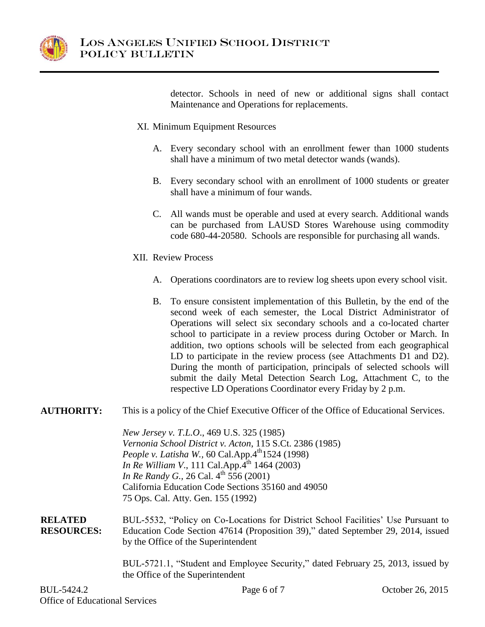

detector. Schools in need of new or additional signs shall contact Maintenance and Operations for replacements.

- XI. Minimum Equipment Resources
	- A. Every secondary school with an enrollment fewer than 1000 students shall have a minimum of two metal detector wands (wands).
	- B. Every secondary school with an enrollment of 1000 students or greater shall have a minimum of four wands.
	- C. All wands must be operable and used at every search. Additional wands can be purchased from LAUSD Stores Warehouse using commodity code 680-44-20580. Schools are responsible for purchasing all wands.
- XII. Review Process
	- A. Operations coordinators are to review log sheets upon every school visit.
	- B. To ensure consistent implementation of this Bulletin, by the end of the second week of each semester, the Local District Administrator of Operations will select six secondary schools and a co-located charter school to participate in a review process during October or March. In addition, two options schools will be selected from each geographical LD to participate in the review process (see Attachments D1 and D2). During the month of participation, principals of selected schools will submit the daily Metal Detection Search Log, Attachment C, to the respective LD Operations Coordinator every Friday by 2 p.m.

#### **AUTHORITY:** This is a policy of the Chief Executive Officer of the Office of Educational Services.

*New Jersey v. T.L.O*., 469 U.S. 325 (1985) *Vernonia School District v. Acton*, 115 S.Ct. 2386 (1985) *People v. Latisha W.,* 60 Cal.App.4<sup>th</sup>1524 (1998) *In Re William V.*, 111 Cal.App.<sup>4th</sup> 1464 (2003) *In Re Randy G.,* 26 Cal. 4<sup>th</sup> 556 (2001) California Education Code Sections 35160 and 49050 75 Ops. Cal. Atty. Gen. 155 (1992)

**RELATED RESOURCES:** BUL-5532, "Policy on Co-Locations for District School Facilities' Use Pursuant to Education Code Section 47614 (Proposition 39)," dated September 29, 2014, issued by the Office of the Superintendent

> BUL-5721.1, "Student and Employee Security," dated February 25, 2013, issued by the Office of the Superintendent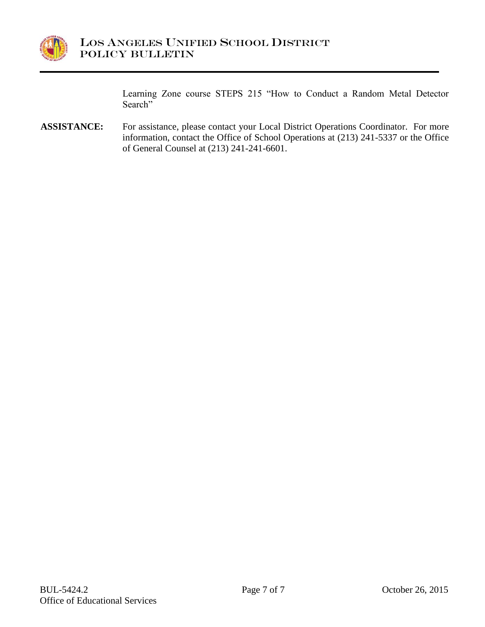

Learning Zone course STEPS 215 "How to Conduct a Random Metal Detector Search"

**ASSISTANCE:** For assistance, please contact your Local District Operations Coordinator. For more information, contact the Office of School Operations at (213) 241-5337 or the Office of General Counsel at (213) 241-241-6601.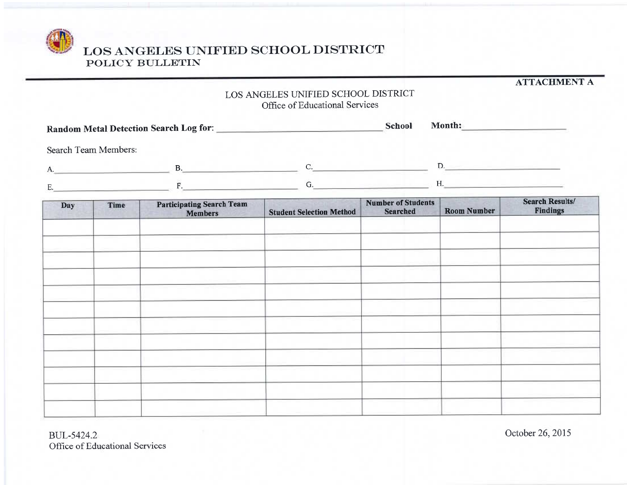

**ATTACHMENT A** 

# LOS ANGELES UNIFIED SCHOOL DISTRICT Office of Educational Services

| Random Metal Detection Search Log for: |   |  | <b>School</b> | Month: |
|----------------------------------------|---|--|---------------|--------|
| Search Team Members:                   |   |  |               |        |
| A.                                     | D |  |               |        |
| F.                                     |   |  |               | п.     |

| Day | <b>Time</b> | <b>Participating Search Team<br/>Members</b> | <b>Student Selection Method</b> | <b>Number of Students</b><br><b>Searched</b> | <b>Room Number</b> | <b>Search Results/</b><br><b>Findings</b> |
|-----|-------------|----------------------------------------------|---------------------------------|----------------------------------------------|--------------------|-------------------------------------------|
|     |             |                                              |                                 |                                              |                    |                                           |
|     |             |                                              |                                 |                                              |                    |                                           |
|     |             |                                              |                                 |                                              |                    |                                           |
|     |             |                                              |                                 |                                              |                    |                                           |
|     |             |                                              |                                 |                                              |                    |                                           |
|     |             |                                              |                                 |                                              |                    |                                           |
|     |             |                                              |                                 |                                              |                    |                                           |
|     |             |                                              |                                 |                                              |                    |                                           |
|     |             |                                              |                                 |                                              |                    |                                           |
|     |             |                                              |                                 |                                              |                    |                                           |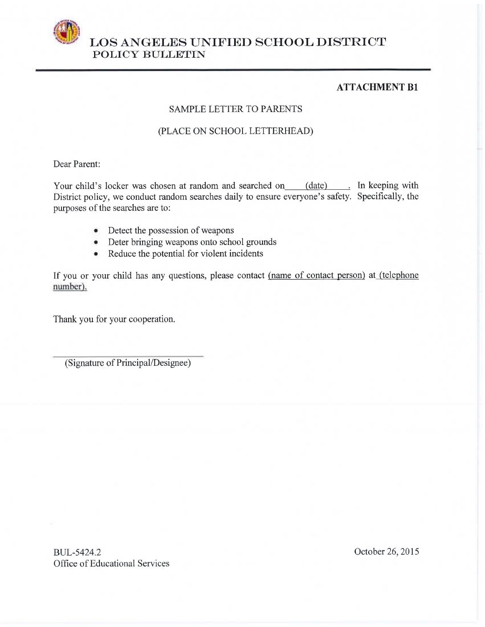

### **ATTACHMENT B1**

#### **SAMPLE LETTER TO PARENTS**

### (PLACE ON SCHOOL LETTERHEAD)

Dear Parent:

Your child's locker was chosen at random and searched on (date) . In keeping with District policy, we conduct random searches daily to ensure everyone's safety. Specifically, the purposes of the searches are to:

- Detect the possession of weapons
- Deter bringing weapons onto school grounds
- Reduce the potential for violent incidents

If you or your child has any questions, please contact (name of contact person) at (telephone number).

Thank you for your cooperation.

(Signature of Principal/Designee)

BUL-5424.2 Office of Educational Services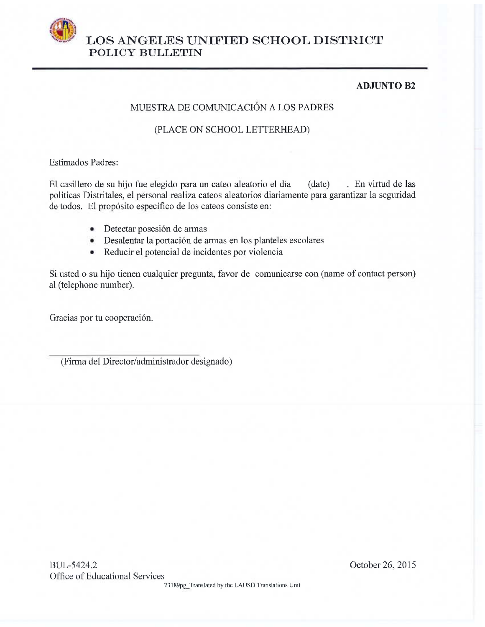

## **ADJUNTO B2**

# MUESTRA DE COMUNICACIÓN A LOS PADRES

### (PLACE ON SCHOOL LETTERHEAD)

**Estimados Padres:** 

. En virtud de las El casillero de su hijo fue elegido para un cateo aleatorio el día  $(data)$ políticas Distritales, el personal realiza cateos aleatorios diariamente para garantizar la seguridad de todos. El propósito específico de los cateos consiste en:

- · Detectar posesión de armas
- Desalentar la portación de armas en los planteles escolares
- Reducir el potencial de incidentes por violencia  $\bullet$

Si usted o su hijo tienen cualquier pregunta, favor de comunicarse con (name of contact person) al (telephone number).

Gracias por tu cooperación.

(Firma del Director/administrador designado)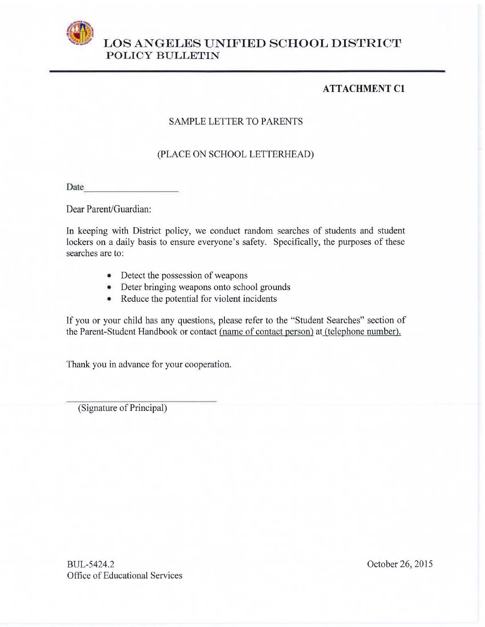

# **ATTACHMENT C1**

## **SAMPLE LETTER TO PARENTS**

## (PLACE ON SCHOOL LETTERHEAD)

Date

Dear Parent/Guardian:

In keeping with District policy, we conduct random searches of students and student lockers on a daily basis to ensure everyone's safety. Specifically, the purposes of these searches are to:

- Detect the possession of weapons
- Deter bringing weapons onto school grounds
- Reduce the potential for violent incidents ۰

If you or your child has any questions, please refer to the "Student Searches" section of the Parent-Student Handbook or contact (name of contact person) at (telephone number).

Thank you in advance for your cooperation.

(Signature of Principal)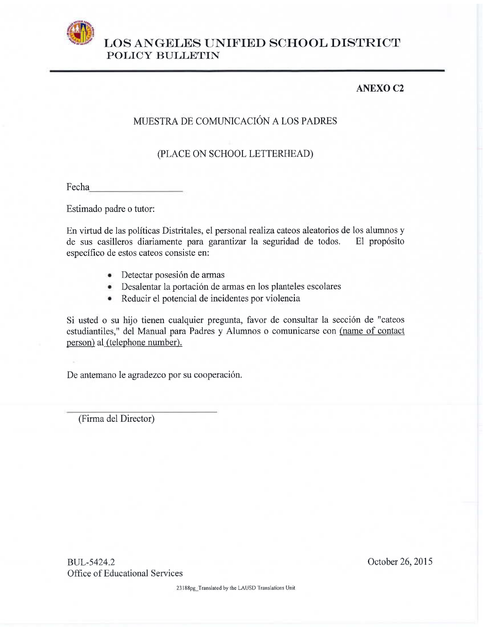

# **ANEXO C2**

# MUESTRA DE COMUNICACIÓN A LOS PADRES

## (PLACE ON SCHOOL LETTERHEAD)

Fecha

Estimado padre o tutor:

En virtud de las políticas Distritales, el personal realiza cateos aleatorios de los alumnos y de sus casilleros diariamente para garantizar la seguridad de todos. El propósito específico de estos cateos consiste en:

- · Detectar posesión de armas
- Desalentar la portación de armas en los planteles escolares
- Reducir el potencial de incidentes por violencia ۰

Si usted o su hijo tienen cualquier pregunta, favor de consultar la sección de "cateos estudiantiles," del Manual para Padres y Alumnos o comunicarse con (name of contact person) al (telephone number).

De antemano le agradezco por su cooperación.

(Firma del Director)

BUL-5424.2 Office of Educational Services October 26, 2015

23188pg Translated by the LAUSD Translations Unit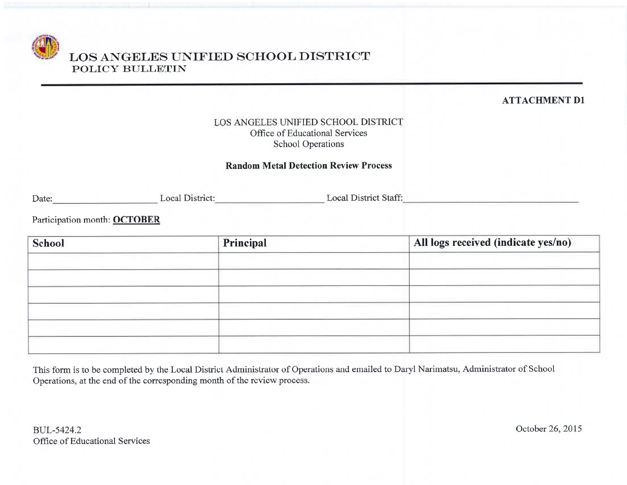**ATTACHMENT D1** 

## LOS ANGELES UNIFIED SCHOOL DISTRICT Office of Educational Services **School Operations**

### **Random Metal Detection Review Process**

Date: Local District: Local District: Local District Staff: Local District Staff:

Participation month: OCTOBER

| School | Principal | All logs received (indicate yes/no) |
|--------|-----------|-------------------------------------|
|        |           |                                     |
|        |           |                                     |
|        |           |                                     |
|        |           |                                     |
|        |           |                                     |
|        |           |                                     |

This form is to be completed by the Local District Administrator of Operations and emailed to Daryl Narimatsu, Administrator of School Operations, at the end of the corresponding month of the review process.